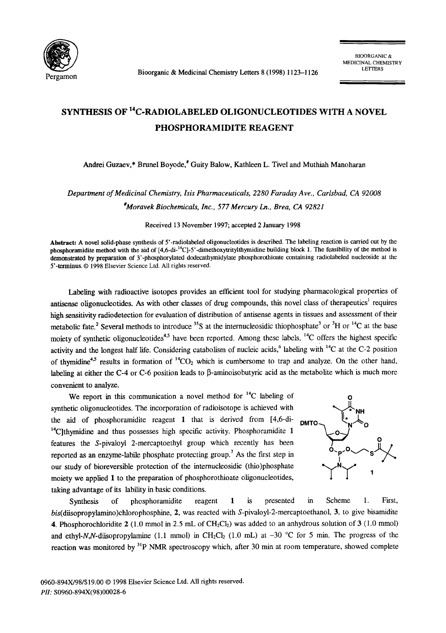

Bioorganic & Medicinal Chemistry Letters 8 (1998) 1123-1126

## SYNTHESIS OF 14C-RADIOLABELED OLIGONUCLEOTIDES WITH A NOVEL PHOSPHORAMIDITE REAGENT

Andrei Guzaev,\* Brunel Boyode,\* Guity Balow, Kathleen L. Tivel and Muthiah Manoharan

*Department of Medicinal Chemistry, Isis Pharmaceuticals, 2280 Faraday Ave., Carlsbad, CA 92008* 

*#Moravek Biochemicals, Inc., 577 Mercury Ln., Brea, CA 92821* 

Received 13 November 1997; accepted 2 January 1998

**Abstract:** A novel solid-phase synthesis of 5'-radiolabeled oligonucleotides is described. The labeling reaction is carried out by the phosphoramidite method with the aid of  $[4,6$ -di-<sup>14</sup>C]-5'-dimethoxytritylthymidine building block 1. The feasibility of the method is demonstrated by preparation of 3'-phosphorylated dodecathymidylate phosphorothioate containing radiolabeled nucleoside at the 5'-terminus. © 1998 Elsevier Science Ltd. All rights reserved.

Labeling with radioactive isotopes provides an efficient tool for studying pharmacological properties of antisense oligonucleotides. As with other classes of drug compounds, this novel class of therapeutics<sup>1</sup> requires high sensitivity radiodetection for evaluation of distribution of antisense agents in tissues and assessment of their metabolic fate.<sup>2</sup> Several methods to introduce <sup>35</sup>S at the internucleosidic thiophosphate<sup>3</sup> or <sup>3</sup>H or <sup>14</sup>C at the base moiety of synthetic oligonucleotides<sup>4,5</sup> have been reported. Among these labels, <sup>14</sup>C offers the highest specific activity and the longest half life. Considering catabolism of nucleic acids,<sup>6</sup> labeling with  $^{14}$ C at the C-2 position of thymidine<sup>4,5</sup> results in formation of  ${}^{14}CO_2$  which is cumbersome to trap and analyze. On the other hand, labeling at either the C-4 or C-6 position leads to  $\beta$ -aminoisobutyric acid as the metabolite which is much more convenient to analyze.

We report in this communication a novel method for  $^{14}C$  labeling of synthetic oligonucleotides. The incorporation of radioisotope is achieved with the aid of phosphoramidite reagent 1 that is derived from [4,6-di- $14$ C]thymidine and thus possesses high specific activity. Phosphoramidite 1 features the S-pivaloyl 2-mercaptoethyl group which recently has been reported as an enzyme-labile phosphate protecting group.<sup>7</sup> As the first step in our study of bioreversible protection of the internucleosidic (thio)phosphate moiety we applied 1 to the preparation of phosphorothioate oligonucleotides, taking advantage of its lability in basic conditions.



Synthesis of phosphoramidite reagent 1 is presented in Scheme 1. First, *bis(diisopropylamino)chlorophosphine, 2, was reacted with S-pivaloyl-2-mercaptoethanol, 3, to give bisamidite* 4. Phosphorochloridite 2 (1.0 mmol in 2.5 mL of  $CH_2Cl_2$ ) was added to an anhydrous solution of 3 (1.0 mmol) and ethyl-N,N-diisopropylamine (1.1 mmol) in CH<sub>2</sub>Cl<sub>2</sub> (1.0 mL) at -30 °C for 5 min. The progress of the reaction was monitored by <sup>31</sup>P NMR spectroscopy which, after 30 min at room temperature, showed complete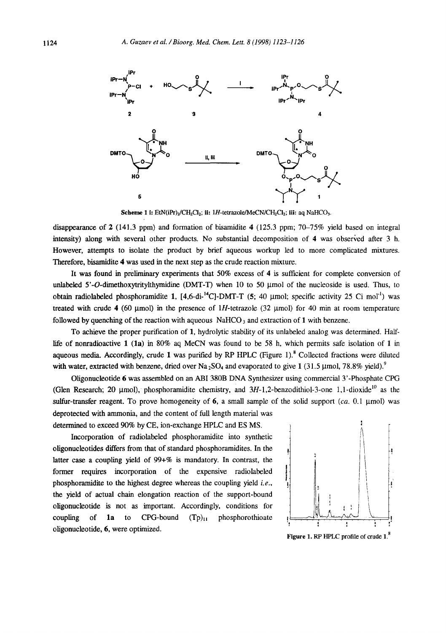

**Scheme 1 i:** EtN(iPr)<sub>2</sub>/CH<sub>2</sub>Cl<sub>2</sub>; ii: 1H-tetrazole/MeCN/CH<sub>2</sub>Cl<sub>2</sub>; iii: aq NaHCO<sub>3</sub>.

disappearance of 2 (141.3 ppm) and formation of bisamidite 4 (125.3 ppm; 70-75% yield based on integral intensity) along with several other products. No substantial decomposition of 4 was observed after 3 h. However, attempts to isolate the product by brief aqueous workup led to more complicated mixtures. Therefore, bisamidite 4 was used in the next step as the crude reaction mixture.

It was found in preliminary experiments that 50% excess of 4 is sufficient for complete conversion of unlabeled  $5'-O$ -dimethoxytritylthymidine (DMT-T) when 10 to 50  $\mu$ mol of the nucleoside is used. Thus, to obtain radiolabeled phosphoramidite 1,  $[4,6-di-^{14}C]-DMT-T$  (5; 40 µmol; specific activity 25 Ci mol<sup>-1</sup>) was treated with crude 4 (60 µmol) in the presence of 1H-tetrazole (32 µmol) for 40 min at room temperature followed by quenching of the reaction with aqueous  $NaHCO<sub>3</sub>$  and extraction of 1 with benzene.

To achieve the proper purification of 1, hydrolytic stability of its unlabeled analog was determined. Halflife of nonradioactive 1 (1a) in 80% aq MeCN was found to be 58 h, which permits safe isolation of 1 in aqueous media. Accordingly, crude 1 was purified by RP HPLC (Figure 1). $8$  Collected fractions were diluted with water, extracted with benzene, dried over Na<sub>2</sub>SO<sub>4</sub> and evaporated to give 1 (31.5 µmol, 78.8% yield).<sup>9</sup>

Oligonucleotide 6 was assembled on an ABI 380B DNA Synthesizer using commercial 3'-Phosphate CPG (Glen Research; 20 µmol), phosphoramidite chemistry, and  $3H-1,2$ -benzodithiol-3-one 1,1-dioxide<sup>10</sup> as the sulfur-transfer reagent. To prove homogeneity of 6, a small sample of the solid support  $(ca. 0.1 \mu mol)$  was deprotected with ammonia, and the content of full length material was determined to exceed 90% by CE, ion-exchange HPLC and ES MS.

Incorporation of radiolabeled phosphoramidite into synthetic oligonucleotides differs from that of standard phosphoramidites. In the latter case a coupling yield of 99+% is mandatory. In contrast, the former requires incorporation of the expensive radiolabeled phosphoramidite to the highest degree whereas the coupling yield *i.e.,*  the yield of actual chain elongation reaction of the support-bound oligonucleotide is not as important. Accordingly, conditions for  $\begin{bmatrix} 0 & 1 \\ 0 & 0 \end{bmatrix}$ coupling of 1a to CPG-bound  $(Tp)_{11}$  phosphorothioate oligonucleotide, 6, were optimized.



Figure 1. RP HPLC profile of crude 1.<sup>8</sup>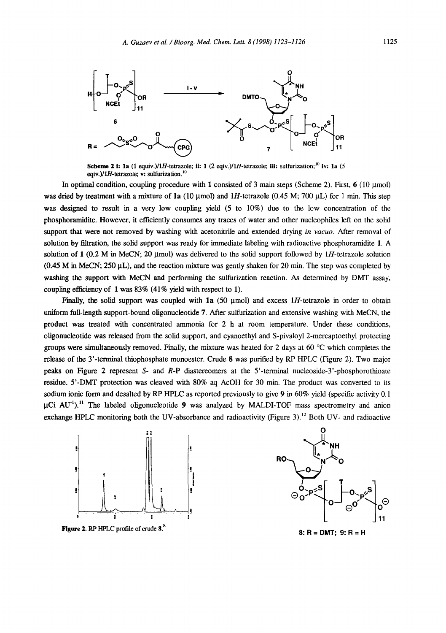

**Scheme 2 i: 1a** (1 equiv.)/1H-tetrazole; ii: 1 (2 eqiv.)/1H-tetrazole; iii: sulfurization;<sup>10</sup> iv: 1a (5 eqiv.)/1H-tetrazole; v: sulfurization. $^{10}$ 

In optimal condition, coupling procedure with 1 consisted of 3 main steps (Scheme 2). First,  $6$  (10  $\mu$ mol) was dried by treatment with a mixture of 1a (10  $\mu$ mol) and 1H-tetrazole (0.45 M; 700  $\mu$ L) for 1 min. This step was designed to result in a very low coupling yield (5 to 10%) due to the low concentration of the phosphoramidite. However, it efficiently consumes any traces of water and other nucleophiles left on the solid support that were not removed by washing with acetonitrile and extended drying *in vacuo*. After removal of solution by filtration, the solid support was ready for immediate labeling with radioactive phosphoramidite 1. A solution of 1 (0.2 M in MeCN; 20  $\mu$ mol) was delivered to the solid support followed by 1H-tetrazole solution  $(0.45$  M in MeCN; 250  $\mu$ L), and the reaction mixture was gently shaken for 20 min. The step was completed by washing the support with MeCN and performing the sulfurization reaction. As determined by DMT assay, coupling efficiency of I was 83% (41% yield with respect to 1).

Finally, the solid support was coupled with 1a (50  $\mu$ mol) and excess 1H-tetrazole in order to obtain uniform full-length support-bound oligonucleotide 7. After sulfurization and extensive washing with MeCN, the product was treated with concentrated ammonia for 2 h at room temperature. Under these conditions, oligonucleotide was released from the solid support, and cyanoethyl and S-pivaloyl 2-mercaptoethyl protecting groups were simultaneously removed. Finally, the mixture was heated for 2 days at 60  $^{\circ}$ C which completes the release of the 3'-terminal thiophosphate monoester. Crude 8 was purified by RP HPLC (Figure 2). Two major peaks on Figure 2 represent S- and R-P diastereomers at the 5'-terminal nucleoside-3'-phosphorothioate residue. 5'-DMT protection was cleaved with 80% aq AcOH for 30 min. The product was converted to its sodium ionic form and desalted by RP HPLC as reported previously to give 9 in 60% yield (specific activity 0.1)  $\mu$ Ci AU<sup>-1</sup>).<sup>11</sup> The labeled oligonucleotide 9 was analyzed by MALDI-TOF mass spectrometry and anion exchange HPLC monitoring both the UV-absorbance and radioactivity (Figure 3).<sup>12</sup> Both UV- and radioactive



**Figure 2.** RP HPLC profile of crude 8.<sup>8</sup>